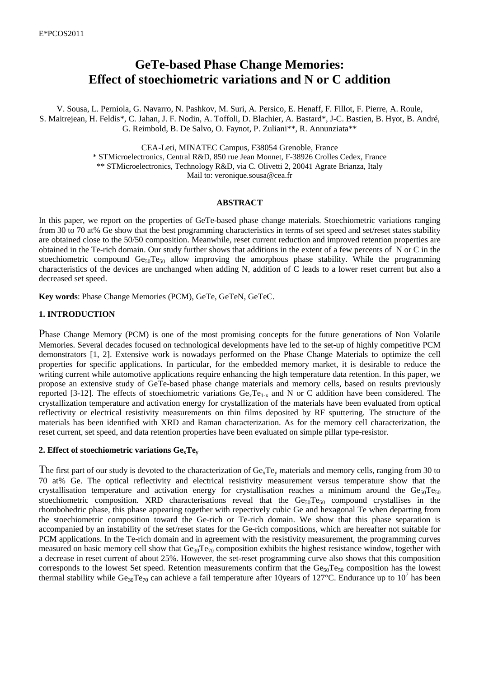# **GeTe-based Phase Change Memories: Effect of stoechiometric variations and N or C addition**

V. Sousa, L. Perniola, G. Navarro, N. Pashkov, M. Suri, A. Persico, E. Henaff, F. Fillot, F. Pierre, A. Roule, S. Maitrejean, H. Feldis\*, C. Jahan, J. F. Nodin, A. Toffoli, D. Blachier, A. Bastard\*, J-C. Bastien, B. Hyot, B. André, G. Reimbold, B. De Salvo, O. Faynot, P. Zuliani\*\*, R. Annunziata\*\*

CEA-Leti, MINATEC Campus, F38054 Grenoble, France

\* STMicroelectronics, Central R&D, 850 rue Jean Monnet, F-38926 Crolles Cedex, France \*\* STMicroelectronics, Technology R&D, via C. Olivetti 2, 20041 Agrate Brianza, Italy Mail to: veronique.sousa@cea.fr

#### **ABSTRACT**

In this paper, we report on the properties of GeTe-based phase change materials. Stoechiometric variations ranging from 30 to 70 at% Ge show that the best programming characteristics in terms of set speed and set/reset states stability are obtained close to the 50/50 composition. Meanwhile, reset current reduction and improved retention properties are obtained in the Te-rich domain. Our study further shows that additions in the extent of a few percents of N or C in the stoechiometric compound  $Ge_{50}Te_{50}$  allow improving the amorphous phase stability. While the programming characteristics of the devices are unchanged when adding N, addition of C leads to a lower reset current but also a decreased set speed.

**Key words**: Phase Change Memories (PCM), GeTe, GeTeN, GeTeC.

# **1. INTRODUCTION**

Phase Change Memory (PCM) is one of the most promising concepts for the future generations of Non Volatile Memories. Several decades focused on technological developments have led to the set-up of highly competitive PCM demonstrators [1, 2]. Extensive work is nowadays performed on the Phase Change Materials to optimize the cell properties for specific applications. In particular, for the embedded memory market, it is desirable to reduce the writing current while automotive applications require enhancing the high temperature data retention. In this paper, we propose an extensive study of GeTe-based phase change materials and memory cells, based on results previously reported [3-12]. The effects of stoechiometric variations  $Ge_{x}Te_{1-x}$  and N or C addition have been considered. The crystallization temperature and activation energy for crystallization of the materials have been evaluated from optical reflectivity or electrical resistivity measurements on thin films deposited by RF sputtering. The structure of the materials has been identified with XRD and Raman characterization. As for the memory cell characterization, the reset current, set speed, and data retention properties have been evaluated on simple pillar type-resistor.

# **2. Effect of stoechiometric variations GexTe<sup>y</sup>**

The first part of our study is devoted to the characterization of  $Ge_xTe_y$  materials and memory cells, ranging from 30 to 70 at% Ge. The optical reflectivity and electrical resistivity measurement versus temperature show that the crystallisation temperature and activation energy for crystallisation reaches a minimum around the  $Ge_{50}Te_{50}$ stoechiometric composition. XRD characterisations reveal that the  $Ge_{50}Te_{50}$  compound crystallises in the rhombohedric phase, this phase appearing together with repectively cubic Ge and hexagonal Te when departing from the stoechiometric composition toward the Ge-rich or Te-rich domain. We show that this phase separation is accompanied by an instability of the set/reset states for the Ge-rich compositions, which are hereafter not suitable for PCM applications. In the Te-rich domain and in agreement with the resistivity measurement, the programming curves measured on basic memory cell show that Ge<sub>30</sub>Te<sub>70</sub> composition exhibits the highest resistance window, together with a decrease in reset current of about 25%. However, the set-reset programming curve also shows that this composition corresponds to the lowest Set speed. Retention measurements confirm that the  $Ge_{50}Te_{50}$  composition has the lowest thermal stability while  $Ge_{30}Te_{70}$  can achieve a fail temperature after 10 years of 127 °C. Endurance up to 10<sup>7</sup> has been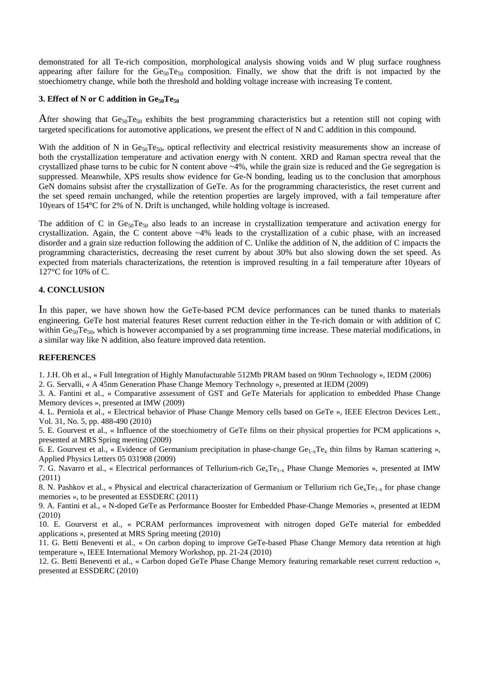demonstrated for all Te-rich composition, morphological analysis showing voids and W plug surface roughness appearing after failure for the  $Ge_{50}Te_{50}$  composition. Finally, we show that the drift is not impacted by the stoechiometry change, while both the threshold and holding voltage increase with increasing Te content.

# **3. Effect of N or C addition in Ge50Te<sup>50</sup>**

After showing that  $Ge_{50}Te_{50}$  exhibits the best programming characteristics but a retention still not coping with targeted specifications for automotive applications, we present the effect of N and C addition in this compound.

With the addition of N in  $Ge_{50}Te_{50}$ , optical reflectivity and electrical resistivity measurements show an increase of both the crystallization temperature and activation energy with N content. XRD and Raman spectra reveal that the crystallized phase turns to be cubic for N content above ~4%, while the grain size is reduced and the Ge segregation is suppressed. Meanwhile, XPS results show evidence for Ge-N bonding, leading us to the conclusion that amorphous GeN domains subsist after the crystallization of GeTe. As for the programming characteristics, the reset current and the set speed remain unchanged, while the retention properties are largely improved, with a fail temperature after 10years of 154°C for 2% of N. Drift is unchanged, while holding voltage is increased.

The addition of C in  $Ge_{50}Te_{50}$  also leads to an increase in crystallization temperature and activation energy for crystallization. Again, the C content above ~4% leads to the crystallization of a cubic phase, with an increased disorder and a grain size reduction following the addition of C. Unlike the addition of N, the addition of C impacts the programming characteristics, decreasing the reset current by about 30% but also slowing down the set speed. As expected from materials characterizations, the retention is improved resulting in a fail temperature after 10years of 127°C for 10% of C.

# **4. CONCLUSION**

In this paper, we have shown how the GeTe-based PCM device performances can be tuned thanks to materials engineering. GeTe host material features Reset current reduction either in the Te-rich domain or with addition of C within  $Ge_{50}Te_{50}$ , which is however accompanied by a set programming time increase. These material modifications, in a similar way like N addition, also feature improved data retention.

# **REFERENCES**

1. J.H. Oh et al., « Full Integration of Highly Manufacturable 512Mb PRAM based on 90nm Technology », IEDM (2006)

2. G. Servalli, « A 45nm Generation Phase Change Memory Technology », presented at IEDM (2009)

3. A. Fantini et al., « Comparative assessment of GST and GeTe Materials for application to embedded Phase Change Memory devices », presented at IMW (2009)

4. L. Perniola et al., « Electrical behavior of Phase Change Memory cells based on GeTe », IEEE Electron Devices Lett., Vol. 31, No. 5, pp. 488-490 (2010)

5. E. Gourvest et al., « Influence of the stoechiometry of GeTe films on their physical properties for PCM applications », presented at MRS Spring meeting (2009)

6. E. Gourvest et al., « Evidence of Germanium precipitation in phase-change  $Ge_{1-x}Te_x$  thin films by Raman scattering », Applied Physics Letters 05 031908 (2009)

7. G. Navarro et al., « Electrical performances of Tellurium-rich  $Ge_xTe_{1-x}$  Phase Change Memories », presented at IMW (2011)

8. N. Pashkov et al., « Physical and electrical characterization of Germanium or Tellurium rich  $Ge_xTe_{1-x}$  for phase change memories », to be presented at ESSDERC (2011)

9. A. Fantini et al., « N-doped GeTe as Performance Booster for Embedded Phase-Change Memories », presented at IEDM (2010)

10. E. Gourverst et al., « PCRAM performances improvement with nitrogen doped GeTe material for embedded applications », presented at MRS Spring meeting (2010)

11. G. Betti Beneventi et al., « On carbon doping to improve GeTe-based Phase Change Memory data retention at high temperature », IEEE International Memory Workshop, pp. 21-24 (2010)

12. G. Betti Beneventi et al., « Carbon doped GeTe Phase Change Memory featuring remarkable reset current reduction », presented at ESSDERC (2010)